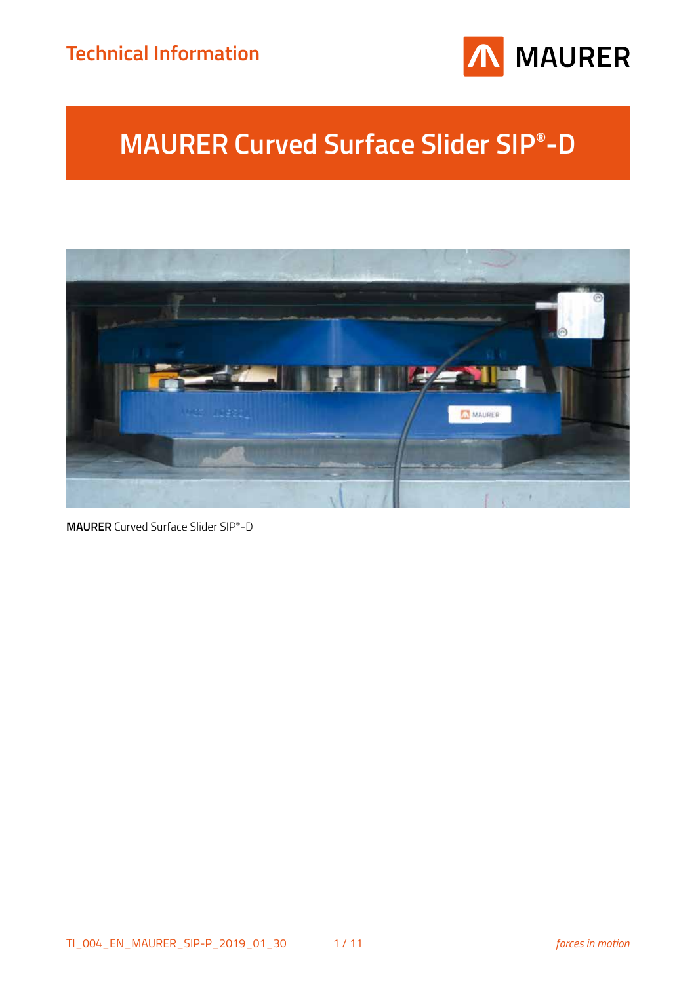## **Technical Information**



# **MAURER Curved Surface Slider SIP®-D**



**MAURER** Curved Surface Slider SIP®-D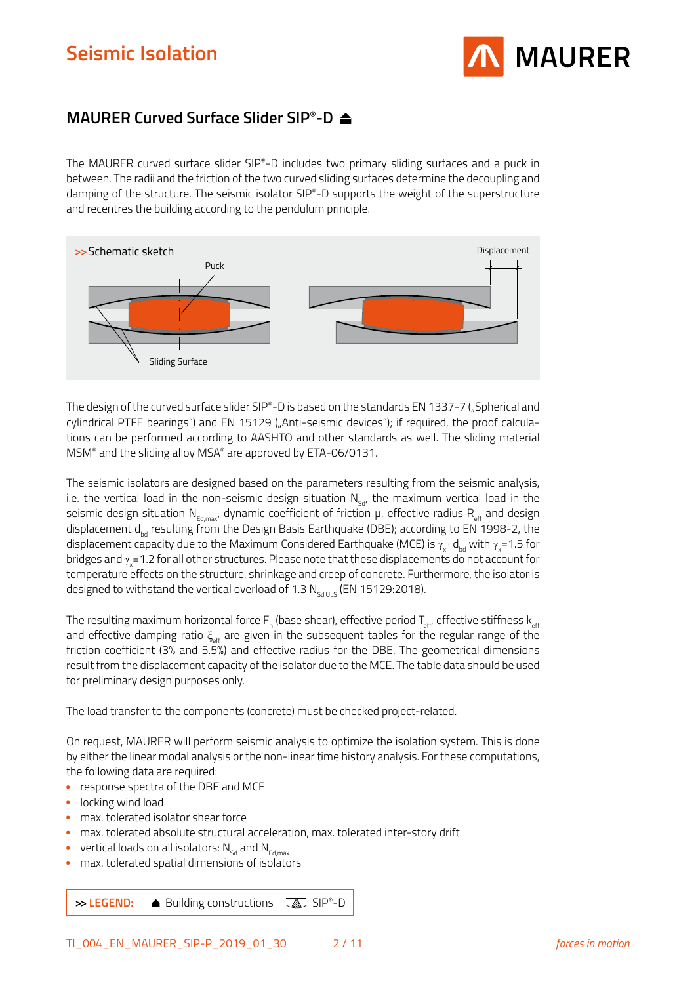

## **MAURER Curved Surface Slider SIP®-D**

The MAURER curved surface slider SIP®-D includes two primary sliding surfaces and a puck in between. The radii and the friction of the two curved sliding surfaces determine the decoupling and damping of the structure. The seismic isolator SIP®-D supports the weight of the superstructure and recentres the building according to the pendulum principle.



The design of the curved surface slider SIP®-D is based on the standards EN 1337-7 ("Spherical and cylindrical PTFE bearings") and EN 15129 ("Anti-seismic devices"); if required, the proof calculations can be performed according to AASHTO and other standards as well. The sliding material MSM® and the sliding alloy MSA® are approved by ETA-06/0131.

The seismic isolators are designed based on the parameters resulting from the seismic analysis, i.e. the vertical load in the non-seismic design situation  $N_{SA}$ , the maximum vertical load in the seismic design situation  $N_{Ed, max'}$  dynamic coefficient of friction  $\mu$ , effective radius  $R_{eff}$  and design displacement d<sub>hd</sub> resulting from the Design Basis Earthquake (DBE); according to EN 1998-2, the displacement capacity due to the Maximum Considered Earthquake (MCE) is  $\gamma_{\sf x}\cdot{\sf d}_{\sf bd}$  with  $\gamma_{\sf x}$ =1.5 for bridges and  $\gamma_{\rm x}$ =1.2 for all other structures. Please note that these displacements do not account for temperature effects on the structure, shrinkage and creep of concrete. Furthermore, the isolator is designed to withstand the vertical overload of 1.3  $N<sub>Sddus6</sub>$  (EN 15129:2018).

The resulting maximum horizontal force F<sub>h</sub> (base shear), effective period T<sub>eff</sub>, effective stiffness k<sub>eff</sub> and effective damping ratio  $\xi_{\text{eff}}$  are given in the subsequent tables for the regular range of the friction coefficient (3% and 5.5%) and effective radius for the DBE. The geometrical dimensions result from the displacement capacity of the isolator due to the MCE. The table data should be used for preliminary design purposes only.

The load transfer to the components (concrete) must be checked project-related.

On request, MAURER will perform seismic analysis to optimize the isolation system. This is done by either the linear modal analysis or the non-linear time history analysis. For these computations, the following data are required:

- response spectra of the DBE and MCE
- locking wind load
- max. tolerated isolator shear force
- max. tolerated absolute structural acceleration, max. tolerated inter-story drift
- vertical loads on all isolators:  $N_{sd}$  and  $N_{Edmax}$
- max. tolerated spatial dimensions of isolators

**→> LEGEND:** ● Building constructions **A** SIP®-D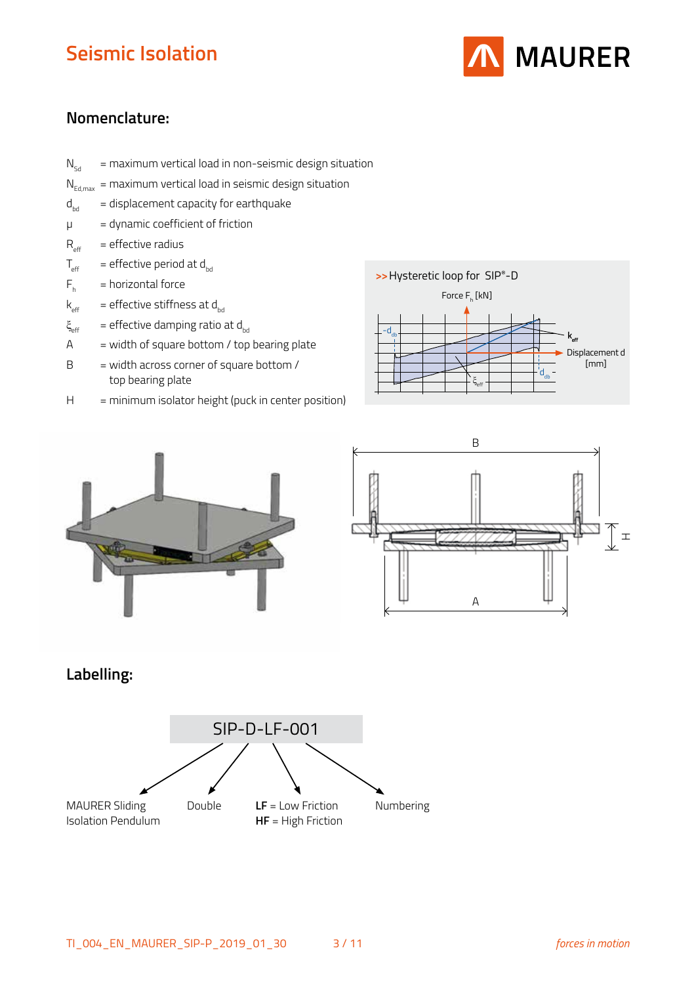

## **Nomenclature:**

- $N_{sd}$  = maximum vertical load in non-seismic design situation
- $N_{Fd, max}$  = maximum vertical load in seismic design situation
- $d_{\text{bd}}$  = displacement capacity for earthquake
- $\mu$  = dynamic coefficient of friction
- $R_{\text{eff}}$  = effective radius
- $T_{\text{eff}}$  = effective period at d<sub>bd</sub>
- $F_{h}$ = horizontal force
- $k_{\text{eff}}$  = effective stiffness at d<sub>bd</sub>
- $\xi_{\text{eff}}$  = effective damping ratio at d<sub>bd</sub>
- $A = width of square bottom / top bearing plate$
- $B = width \, \text{across corner of square bottom}$  / top bearing plate
- H = minimum isolator height (puck in center position)







## **Labelling:**

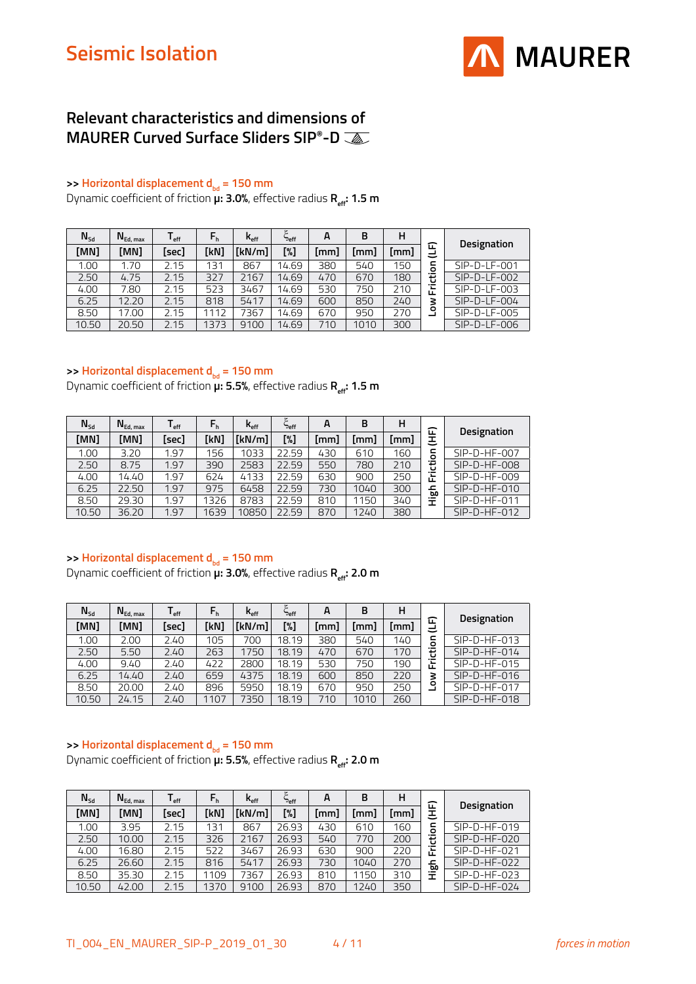

### **Relevant characteristics and dimensions of MAURER Curved Surface Sliders SIP®-D**

#### **>> Horizontal displacement d<sub>bd</sub> = 150 mm**

Dynamic coefficient of friction **μ: 3.0%**, effective radius **R**<sub>eff</sub>: **1.5 m** 

| $N_{sd}$ | $N_{Ed, max}$ | l <sub>eff</sub> | $F_h$ | $K_{\text{eff}}$ | ٤<br>eff" | A    | в    | н    |                               |                |
|----------|---------------|------------------|-------|------------------|-----------|------|------|------|-------------------------------|----------------|
| [MN]     | [MN]          | [sec]            | [kN]  | [kN/m]           | [%]       | [mm] | [mm] | [mm] | ᄄ<br>پے                       | Designation    |
| 1.00     | 1.70          | 2.15             | 131   | 867              | 14.69     | 380  | 540  | 150  | 등                             | $SIP-D-LF-001$ |
| 2.50     | 4.75          | 2.15             | 327   | 2167             | 14.69     | 470  | 670  | 180  | 흉                             | $SIP-D-LF-002$ |
| 4.00     | 7.80          | 2.15             | 523   | 3467             | 14.69     | 530  | 750  | 210  | $\overline{\phantom{a}}$<br>ட | $SIP-D-LF-003$ |
| 6.25     | 12.20         | 2.15             | 818   | 5417             | 14.69     | 600  | 850  | 240  | 3                             | $SIP-D-LF-004$ |
| 8.50     | 17.00         | 2.15             | 1112  | 7367             | 14.69     | 670  | 950  | 270  | ۰                             | $SIP-D-LF-005$ |
| 10.50    | 20.50         | 2.15             | 1373  | 9100             | 14.69     | 710  | 1010 | 300  |                               | SIP-D-LF-006   |

#### **>> Horizontal displacement d**<sub>bd</sub> = 150 mm

Dynamic coefficient of friction **µ: 5.5%**, effective radius **R**<sub>eff</sub>: **1.5 m** 

| $N_{sd}$          | $N_{Ed, max}$ | l <sub>eff</sub> | $\mathsf{F}_\mathsf{h}$ | $K_{\text{eff}}$ | Deff  | A    | B    | н    | ᄄ      | <b>Designation</b> |
|-------------------|---------------|------------------|-------------------------|------------------|-------|------|------|------|--------|--------------------|
| [MN]              | [MN]          | [sec]            | [kN]                    | [kN/m]           | [%]   | [mm] | [mm] | [mm] | Ξ      |                    |
| 1.00 <sub>1</sub> | 3.20          | 1.97             | 156                     | 1033             | 22.59 | 430  | 610  | 160  | ō      | $SIP-D-HF-007$     |
| 2.50              | 8.75          | 1.97             | 390                     | 2583             | 22.59 | 550  | 780  | 210  | ÷.     | $SIP-D-HF-008$     |
| 4.00              | 14.40         | 1.97             | 624                     | 4133             | 22.59 | 630  | 900  | 250  | Έ<br>ட | $SIP-D-HF-009$     |
| 6.25              | 22.50         | 1.97             | 975                     | 6458             | 22.59 | 730  | 1040 | 300  | 딊      | $SIP-D-HF-010$     |
| 8.50              | 29.30         | 1.97             | 1326                    | 8783             | 22.59 | 810  | 1150 | 340  | 量      | $SIP-D-HF-011$     |
| 10.50             | 36.20         | 1.97             | 1639                    | 10850            | 22.59 | 870  | 1240 | 380  |        | $SIP-D-HF-012$     |

#### >> **Horizontal displacement d**<sub>bd</sub> = 150 mm

Dynamic coefficient of friction **µ: 3.0%**, effective radius **R**<sub>eff</sub>: 2.0 m

| $N_{\text{Sd}}$ | $N_{Ed, max}$ | ∎ eff | $F_h$ | $K_{\text{eff}}$ | ٤<br><b>Peff</b> | A    | в    | н    |              |                    |
|-----------------|---------------|-------|-------|------------------|------------------|------|------|------|--------------|--------------------|
| [MN]            | [MN]          | [sec] | [kN]  | [kN/m]           | [%]              | [mm] | [mm] | [mm] | 冚<br>پے      | <b>Designation</b> |
| 1.00            | 2.00          | 2.40  | 105   | 700              | 18.19            | 380  | 540  | 140  | c<br>$\circ$ | $SIP-D-HF-013$     |
| 2.50            | 5.50          | 2.40  | 263   | 1750             | 18.19            | 470  | 670  | 170  | ÷.           | $SIP-D-HF-014$     |
| 4.00            | 9.40          | 2.40  | 422   | 2800             | 18.19            | 530  | 750  | 190  | Έ<br>ட       | $SIP-D-HF-015$     |
| 6.25            | 14.40         | 2.40  | 659   | 4375             | 18.19            | 600  | 850  | 220  | 3            | $SIP-D-HF-016$     |
| 8.50            | 20.00         | 2.40  | 896   | 5950             | 18.19            | 670  | 950  | 250  | ۰            | $SIP-D-HF-017$     |
| 10.50           | 24.15         | 2.40  | 1107  | 7350             | 18.19            | 710  | 1010 | 260  |              | $SIP-D-HF-018$     |

#### **>> Horizontal displacement d<sub>bd</sub> = 150 mm**

Dynamic coefficient of friction **µ: 5.5%**, effective radius **R**<sub>eff</sub>: 2.0 m

| $N_{sd}$ | $N_{Ed, max}$ | ∎ eff | $F_h$ | $K_{\text{eff}}$ | ٣<br><b>Peff</b> | A    | в    | н    | ᄄ       |                |
|----------|---------------|-------|-------|------------------|------------------|------|------|------|---------|----------------|
| [MN]     | [MN]          | [sec] | [kN]  | [kN/m]           | [%]              | [mm] | [mm] | [mm] | 王       | Designation    |
| 00.1     | 3.95          | 2.15  | 131   | 867              | 26.93            | 430  | 610  | 160  | 등       | $SIP-D-HF-019$ |
| 2.50     | 10.00         | 2.15  | 326   | 2167             | 26.93            | 540  | 770  | 200  | 흉       | $SIP-D-HF-020$ |
| 4.00     | 16.80         | 2.15  | 522   | 3467             | 26.93            | 630  | 900  | 220  | ∵⊑<br>ட | $SIP-D-HF-021$ |
| 6.25     | 26.60         | 2.15  | 816   | 5417             | 26.93            | 730  | 1040 | 270  | 딊       | $SIP-D-HF-022$ |
| 8.50     | 35.30         | 2.15  | 1109  | 7367             | 26.93            | 810  | 1150 | 310  | 量       | $SIP-D-HF-023$ |
| 10.50    | 42.00         | 2.15  | 1370  | 9100             | 26.93            | 870  | 1240 | 350  |         | $SIP-D-HF-024$ |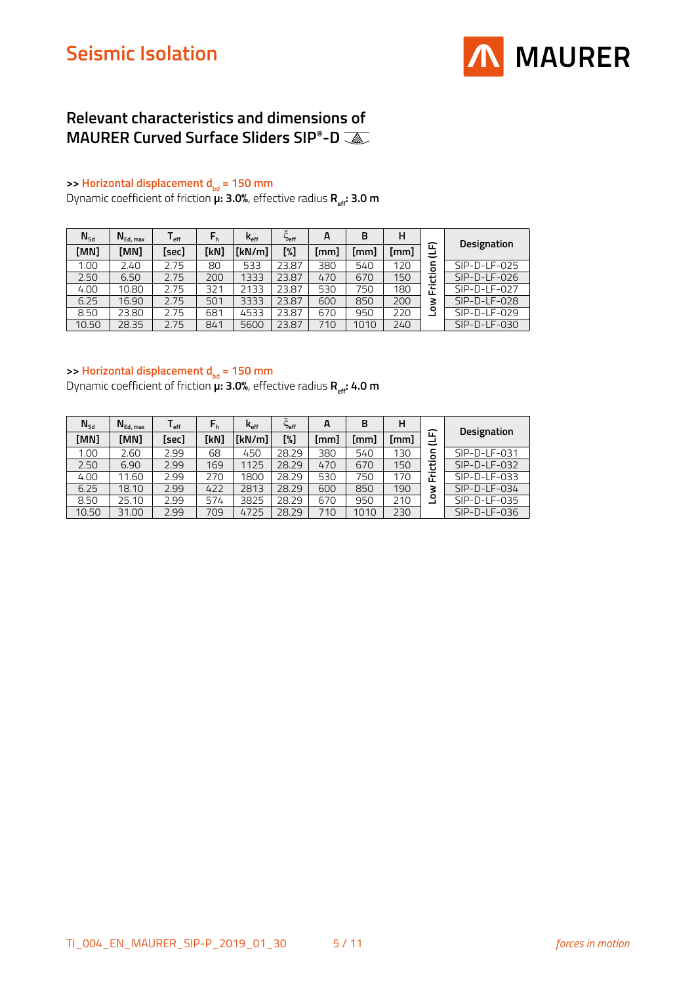

### **Relevant characteristics and dimensions of MAURER Curved Surface Sliders SIP®-D**

#### **>> Horizontal displacement d<sub>bd</sub> = 150 mm**

Dynamic coefficient of friction **μ: 3.0%**, effective radius **R**<sub>eff</sub>: **3.0 m** 

| $N_{sd}$ | $N_{Ed, max}$ | l <sub>eff</sub> | $F_h$ | $K_{\text{eff}}$ | ٤<br>eff" | A    | в    | н    |                               |                |
|----------|---------------|------------------|-------|------------------|-----------|------|------|------|-------------------------------|----------------|
| [MN]     | [MN]          | [sec]            | [kN]  | [kN/m]           | [%]       | [mm] | [mm] | [mm] | ᄄ                             | Designation    |
| 1.00     | 2.40          | 2.75             | 80    | 533              | 23.87     | 380  | 540  | 120  | 등                             | $SIP-D-LF-025$ |
| 2.50     | 6.50          | 2.75             | 200   | 1333             | 23.87     | 470  | 670  | 150  | 흉                             | $SIP-D-LF-026$ |
| 4.00     | 10.80         | 2.75             | 321   | 2133             | 23.87     | 530  | 750  | 180  | $\overline{\phantom{0}}$<br>正 | SIP-D-LF-027   |
| 6.25     | 16.90         | 2.75             | 501   | 3333             | 23.87     | 600  | 850  | 200  | 3                             | $SIP-D-LF-028$ |
| 8.50     | 23.80         | 2.75             | 681   | 4533             | 23.87     | 670  | 950  | 220  | ۰                             | $SIP-D-LF-029$ |
| 10.50    | 28.35         | 2.75             | 841   | 5600             | 23.87     | 710  | 1010 | 240  |                               | SIP-D-LF-030   |

#### **>> Horizontal displacement d<sub>bd</sub> = 150 mm**

Dynamic coefficient of friction **µ: 3.0%**, effective radius **R**<sub>eff</sub>: 4.0 **m** 

| $N_{\text{Sd}}$ | $N_{Ed, max}$ | ∎ eff | $F_h$ | $\mathsf{k}_{\scriptscriptstyle\mathsf{eff}}$ | Deff  | A    | B    | н    |                                    | <b>Designation</b> |
|-----------------|---------------|-------|-------|-----------------------------------------------|-------|------|------|------|------------------------------------|--------------------|
| [MN]            | [MN]          | [sec] | [kN]  | [kN/m]                                        | [%]   | [mm] | [mm] | [mm] | ᄄ<br>=                             |                    |
| 1.00            | 2.60          | 2.99  | 68    | 450                                           | 28.29 | 380  | 540  | 130  | c<br>ō                             | SIP-D-LF-031       |
| 2.50            | 6.90          | 2.99  | 169   | 1125                                          | 28.29 | 470  | 670  | 150  | ŧ                                  | $SIP-D-LF-032$     |
| 4.00            | 11.60         | 2.99  | 270   | 1800                                          | 28.29 | 530  | 750  | 170  | $\overline{\phantom{0}}$<br>Æ<br>ட | $SIP-D-LF-033$     |
| 6.25            | 18.10         | 2.99  | 422   | 2813                                          | 28.29 | 600  | 850  | 190  | š                                  | $SIP-D-LF-034$     |
| 8.50            | 25.10         | 2.99  | 574   | 3825                                          | 28.29 | 670  | 950  | 210  | ۰                                  | SIP-D-LF-035       |
| 10.50           | 31.00         | 2.99  | 709   | 4725                                          | 28.29 | 710  | 1010 | 230  |                                    | $SIP-D-LF-036$     |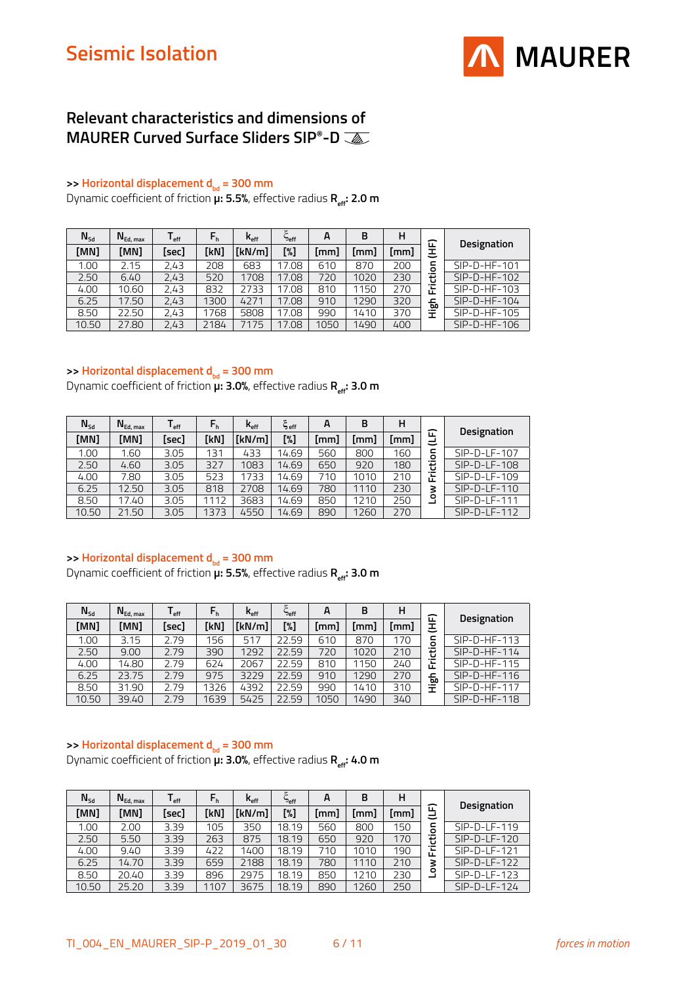

### **Relevant characteristics and dimensions of MAURER Curved Surface Sliders SIP®-D**

#### **>> Horizontal displacement d<sub>bd</sub> = 300 mm**

Dynamic coefficient of friction **μ: 5.5%**, effective radius **R**<sub>eff</sub>: **2.0 m** 

| $N_{sd}$ | $N_{Ed, max}$ | l <sub>eff</sub> | $F_h$ | $K_{\text{eff}}$ | <b>Peff</b> | A    | в    | н    | 企                                    |                |
|----------|---------------|------------------|-------|------------------|-------------|------|------|------|--------------------------------------|----------------|
| [MN]     | [MN]          | [sec]            | [kN]  | [kN/m]           | [%]         | [mm] | [mm] | [mm] | 王                                    | Designation    |
| 1.00     | 2.15          | 2.43             | 208   | 683              | 17.08       | 610  | 870  | 200  | 등                                    | $SIP-D-HF-101$ |
| 2.50     | 6.40          | 2,43             | 520   | 1708             | 17.08       | 720  | 1020 | 230  | 흉                                    | $SIP-D-HF-102$ |
| 4.00     | 10.60         | 2,43             | 832   | 2733             | 17.08       | 810  | 1150 | 270  | 岀                                    | $SIP-D-HF-103$ |
| 6.25     | 17.50         | 2,43             | 1300  | 4271             | 17.08       | 910  | 1290 | 320  | ᅩ<br>60                              | $SIP-D-HF-104$ |
| 8.50     | 22.50         | 2,43             | 1768  | 5808             | 17.08       | 990  | 1410 | 370  | $\overline{\phantom{0}}$<br><b>I</b> | $SIP-D-HF-105$ |
| 10.50    | 27.80         | 2,43             | 2184  | 7175             | 17.08       | 1050 | 1490 | 400  |                                      | $SIP-D-HF-106$ |

#### **>> Horizontal displacement d<sub>bd</sub> = 300 mm**

Dynamic coefficient of friction  $\overline{\mu}$ : **3.0%**, effective radius **R**<sub>eff</sub>: **3.0 m** 

| $N_{sd}$ | $N_{Ed, max}$ | l <sub>eff</sub> | $F_h$ | $\mathsf{k}_{\scriptscriptstyle\mathsf{eff}}$ | $\xi_{\sf eff}$ | A    | B    | н    |                               | Designation    |
|----------|---------------|------------------|-------|-----------------------------------------------|-----------------|------|------|------|-------------------------------|----------------|
| [MN]     | [MN]          | [sec]            | [kN]  | [kN/m]                                        | [%]             | [mm] | [mm] | [mm] | ᄄ<br>=                        |                |
| 1.00     | 1.60          | 3.05             | 131   | 433                                           | 14.69           | 560  | 800  | 160  | ō                             | $SIP-D-LF-107$ |
| 2.50     | 4.60          | 3.05             | 327   | 1083                                          | 14.69           | 650  | 920  | 180  | 흉                             | $SIP-D-LF-108$ |
| 4.00     | 7.80          | 3.05             | 523   | 1733                                          | 14.69           | 710  | 1010 | 210  | $\overline{\phantom{0}}$<br>岀 | SIP-D-LF-109   |
| 6.25     | 12.50         | 3.05             | 818   | 2708                                          | 14.69           | 780  | 1110 | 230  | 3                             | $SIP-D-LF-110$ |
| 8.50     | 17.40         | 3.05             | 1112  | 3683                                          | 14.69           | 850  | 1210 | 250  | ۰                             | $SIP-D-LF-111$ |
| 10.50    | 21.50         | 3.05             | 1373  | 4550                                          | 14.69           | 890  | 1260 | 270  |                               | $SIP-D-LF-112$ |

#### >> **Horizontal displacement d**<sub>bd</sub> = 300 mm

Dynamic coefficient of friction **µ: 5.5%**, effective radius **R**<sub>eff</sub>: **3.0 m** 

| $N_{\text{Sd}}$ | $N_{Ed, max}$ | l <sub>eff</sub> | $F_h$ | $K_{\text{eff}}$ | ٣<br><b>Peff</b> | A    | B    | н    | 冚                             | <b>Designation</b> |
|-----------------|---------------|------------------|-------|------------------|------------------|------|------|------|-------------------------------|--------------------|
| [MN]            | [MN]          | [sec]            | [kN]  | [kN/m]           | [%]              | [mm] | [mm] | [mm] | 王                             |                    |
| 1.00            | 3.15          | 2.79             | 156   | 517              | 22.59            | 610  | 870  | 170  | c<br>$\circ$                  | $SIP-D-HF-113$     |
| 2.50            | 9.00          | 2.79             | 390   | 1292             | 22.59            | 720  | 1020 | 210  | Φ                             | $SIP-D-HF-114$     |
| 4.00            | 14.80         | 2.79             | 624   | 2067             | 22.59            | 810  | 1150 | 240  | Ē                             | $SIP-D-HF-115$     |
| 6.25            | 23.75         | 2.79             | 975   | 3229             | 22.59            | 910  | 1290 | 270  | 딊                             | $SIP-D-HF-116$     |
| 8.50            | 31.90         | 2.79             | 1326  | 4392             | 22.59            | 990  | 1410 | 310  | $\overline{\phantom{0}}$<br>᠇ | $SIP-D-HF-117$     |
| 10.50           | 39.40         | 2.79             | 1639  | 5425             | 22.59            | 1050 | 1490 | 340  |                               | $SIP-D-HF-118$     |

#### **>> Horizontal displacement d<sub>bd</sub> = 300 mm**

Dynamic coefficient of friction  $\overline{\mu}$ : **3.0%**, effective radius **R**<sub>eff</sub>: **4.0 m** 

| $N_{sd}$ | $N_{Ed, max}$ | ∎ eff | $F_h$ | $K_{\rm eff}$ | s<br><b>Peff</b> | A    | в    | н    | ∽                                  |                |
|----------|---------------|-------|-------|---------------|------------------|------|------|------|------------------------------------|----------------|
| [MN]     | [MN]          | [sec] | [kN]  | [kN/m]        | [%]              | [mm] | [mm] | [mm] | پے                                 | Designation    |
| 1.00     | 2.00          | 3.39  | 105   | 350           | 18.19            | 560  | 800  | 150  | c<br>ō                             | $SIP-D-LF-119$ |
| 2.50     | 5.50          | 3.39  | 263   | 875           | 18.19            | 650  | 920  | 170  | ŧ                                  | $SIP-D-LF-120$ |
| 4.00     | 9.40          | 3.39  | 422   | 1400          | 18.19            | 710  | 1010 | 190  | $\overline{\phantom{0}}$<br>≖<br>ட | SIP-D-LF-121   |
| 6.25     | 14.70         | 3.39  | 659   | 2188          | 18.19            | 780  | 1110 | 210  | 3                                  | $SIP-D-LF-122$ |
| 8.50     | 20.40         | 3.39  | 896   | 2975          | 18.19            | 850  | 1210 | 230  | ۰                                  | $SIP-D-LF-123$ |
| 10.50    | 25.20         | 3.39  | 1107  | 3675          | 18.19            | 890  | 1260 | 250  |                                    | $SIP-D-LF-124$ |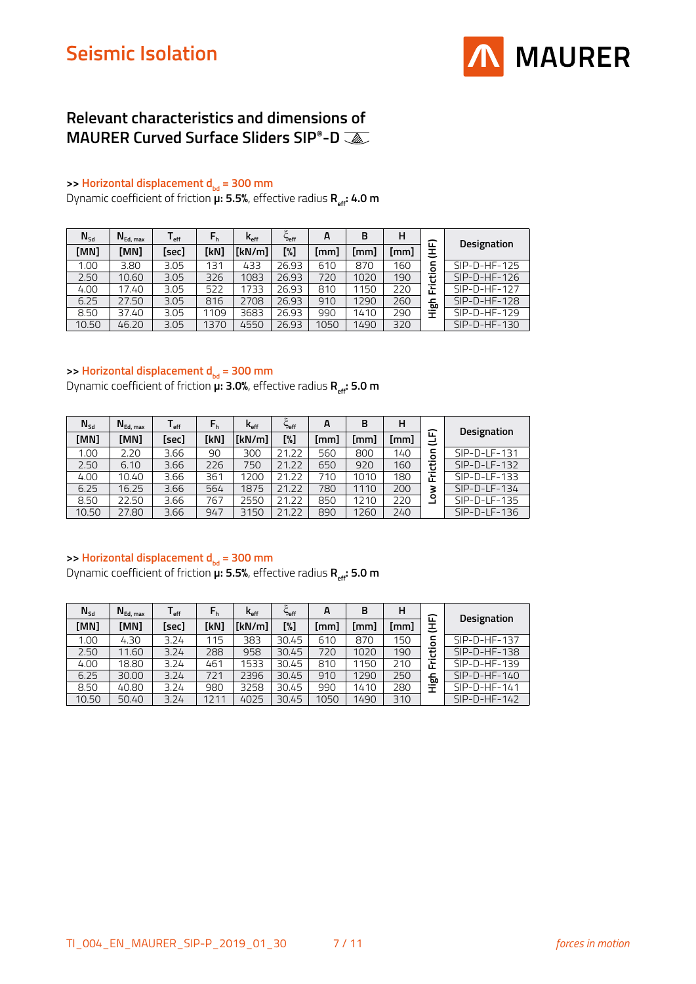

### **Relevant characteristics and dimensions of MAURER Curved Surface Sliders SIP®-D**

#### **>> Horizontal displacement d<sub>bd</sub> = 300 mm**

Dynamic coefficient of friction **µ**: **5.5%**, effective radius **R**<sub>et</sub>: **4.0 m** 

| $N_{sd}$          | $N_{Ed, max}$ | l <sub>eff</sub> | $F_h$ | $K_{\text{eff}}$ | $\tilde{\phantom{a}}$<br><b>Peff</b> | A    | в    | н    | 冚                              |                |
|-------------------|---------------|------------------|-------|------------------|--------------------------------------|------|------|------|--------------------------------|----------------|
| [MN]              | [MN]          | [sec]            | [kN]  | [kN/m]           | [%]                                  | (mm) | [mm] | [mm] | 王                              | Designation    |
| 1.00 <sub>1</sub> | 3.80          | 3.05             | 131   | 433              | 26.93                                | 610  | 870  | 160  | 등                              | $SIP-D-HF-125$ |
| 2.50              | 10.60         | 3.05             | 326   | 1083             | 26.93                                | 720  | 1020 | 190  | 흉                              | $SIP-D-HF-126$ |
| 4.00              | 17.40         | 3.05             | 522   | 1733             | 26.93                                | 810  | 1150 | 220  | $\overline{\phantom{0}}$<br>岀  | $SIP-D-HF-127$ |
| 6.25              | 27.50         | 3.05             | 816   | 2708             | 26.93                                | 910  | 1290 | 260  | ᅩ<br>ம                         | $SIP-D-HF-128$ |
| 8.50              | 37.40         | 3.05             | 1109  | 3683             | 26.93                                | 990  | 1410 | 290  | $\overline{\phantom{0}}$<br>Ŧ. | $SIP-D-HF-129$ |
| 10.50             | 46.20         | 3.05             | 1370  | 4550             | 26.93                                | 1050 | 1490 | 320  |                                | $SIP-D-HF-130$ |

#### **>> Horizontal displacement d<sub>bd</sub> = 300 mm**

Dynamic coefficient of friction **µ: 3.0%**, effective radius **R**<sub>eff</sub>: 5.0 m

| $N_{\text{Sd}}$ | $N_{Ed, max}$ | l <sub>eff</sub> | $F_h$ | $K_{\text{eff}}$ | <b>Peff</b> | A    | в    | н    |              |                |
|-----------------|---------------|------------------|-------|------------------|-------------|------|------|------|--------------|----------------|
| [MN]            | [MN]          | [sec]            | [kN]  | [kN/m]           | [%]         | [mm] | [mm] | [mm] | ᄄ<br>پے      | Designation    |
| 1.00            | 2.20          | 3.66             | 90    | 300              | 21.22       | 560  | 800  | 140  | ⊂<br>$\circ$ | $SIP-D-LF-131$ |
| 2.50            | 6.10          | 3.66             | 226   | 750              | 21.22       | 650  | 920  | 160  | Φ<br>ن       | $SIP-D-LF-132$ |
| 4.00            | 10.40         | 3.66             | 361   | 1200             | 21.22       | 710  | 1010 | 180  | ∵⊏<br>Œ      | $SIP-D-LF-133$ |
| 6.25            | 16.25         | 3.66             | 564   | 1875             | 21.22       | 780  | 1110 | 200  | 3            | $SIP-D-LF-134$ |
| 8.50            | 22.50         | 3.66             | 767   | 2550             | 21.22       | 850  | 1210 | 220  | ۰            | SIP-D-LF-135   |
| 10.50           | 27.80         | 3.66             | 947   | 3150             | 21.22       | 890  | 1260 | 240  |              | $SIP-D-LF-136$ |

#### >> **Horizontal displacement d**<sub>bd</sub> = 300 mm

Dynamic coefficient of friction **µ: 5.5%**, effective radius **R**<sub>eff</sub>: **5.0 m** 

| $N_{sd}$ | $N_{Ed, max}$ | l <sub>eff</sub> | $F_h$ | $\mathsf{k}_{\scriptscriptstyle\mathsf{eff}}$ | ٤<br>eff= | A    | B    | н    | ᄄ                                  |                |
|----------|---------------|------------------|-------|-----------------------------------------------|-----------|------|------|------|------------------------------------|----------------|
| [MN]     | [MN]          | [sec]            | [kN]  | [kN/m]                                        | [%]       | (mm) | [mm] | (mm) | 王                                  | Designation    |
| 1.00     | 4.30          | 3.24             | 115   | 383                                           | 30.45     | 610  | 870  | 150  | 등                                  | $SIP-D-HF-137$ |
| 2.50     | 11.60         | 3.24             | 288   | 958                                           | 30.45     | 720  | 1020 | 190  | Φ<br>ں                             | $SIP-D-HF-138$ |
| 4.00     | 18.80         | 3.24             | 461   | 1533                                          | 30.45     | 810  | 1150 | 210  | $\overline{\phantom{0}}$<br>┶<br>Œ | $SIP-D-HF-139$ |
| 6.25     | 30.00         | 3.24             | 721   | 2396                                          | 30.45     | 910  | 1290 | 250  | 딊                                  | $SIP-D-HF-140$ |
| 8.50     | 40.80         | 3.24             | 980   | 3258                                          | 30.45     | 990  | 1410 | 280  | Ξ                                  | $SIP-D-HF-141$ |
| 10.50    | 50.40         | 3.24             | 1211  | 4025                                          | 30.45     | 1050 | 1490 | 310  |                                    | $SIP-D-HF-142$ |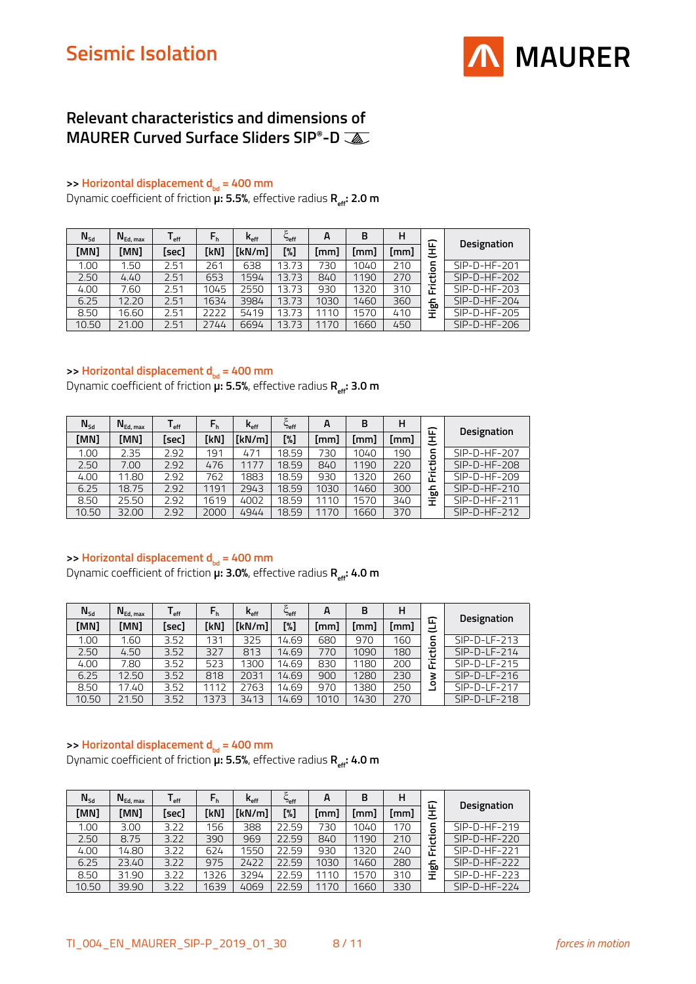

### **Relevant characteristics and dimensions of MAURER Curved Surface Sliders SIP®-D**

#### **>> Horizontal displacement d<sub>bd</sub> = 400 mm**

Dynamic coefficient of friction **μ: 5.5%**, effective radius **R**<sub>eff</sub>: **2.0 m** 

| $N_{sd}$ | $N_{Ed, max}$ | l <sub>eff</sub> | $F_h$ | $\mathsf{k}_{\scriptscriptstyle\sf eff}$ | ٤<br>eff" | A    | в    | н    | 企                              |                |
|----------|---------------|------------------|-------|------------------------------------------|-----------|------|------|------|--------------------------------|----------------|
| [MN]     | [MN]          | [sec]            | [kN]  | [kN/m]                                   | [%]       | [mm] | [mm] | [mm] | Ξ                              | Designation    |
| 1.00     | 1.50          | 2.51             | 261   | 638                                      | 13.73     | 730  | 1040 | 210  | 등                              | $SIP-D-HF-201$ |
| 2.50     | 4.40          | 2.51             | 653   | 1594                                     | 13.73     | 840  | 1190 | 270  | 흉                              | $SIP-D-HF-202$ |
| 4.00     | 7.60          | 2.51             | 1045  | 2550                                     | 13.73     | 930  | 1320 | 310  | ┶<br>ட                         | $SIP-D-HF-203$ |
| 6.25     | 12.20         | 2.51             | 1634  | 3984                                     | 13.73     | 1030 | 1460 | 360  | ᅩ<br>60                        | $SIP-D-HF-204$ |
| 8.50     | 16.60         | 2.51             | 2222  | 5419                                     | 13.73     | 110  | 1570 | 410  | $\overline{\phantom{0}}$<br>Ŧ. | $SIP-D-HF-205$ |
| 10.50    | 21.00         | 2.51             | 2744  | 6694                                     | 13.73     | 170  | 1660 | 450  |                                | $SIP-D-HF-206$ |

#### **>> Horizontal displacement d<sub>bd</sub> = 400 mm**

Dynamic coefficient of friction **µ: 5.5%**, effective radius **R**<sub>eff</sub>: **3.0 m** 

| $N_{\text{Sd}}$ | $N_{Ed, max}$ | l <sub>eff</sub> | $F_h$ | $K_{\text{eff}}$ | c<br>Deff | A    | в    | н    | ᄄ            |                |
|-----------------|---------------|------------------|-------|------------------|-----------|------|------|------|--------------|----------------|
| [MN]            | [MN]          | [sec]            | [kN]  | [kN/m]           | [%]       | [mm] | [mm] | [mm] | 王            | Designation    |
| 00.1            | 2.35          | 2.92             | 191   | 471              | 18.59     | 730  | 1040 | 190  | ⊂<br>$\circ$ | $SIP-D-HF-207$ |
| 2.50            | 7.00          | 2.92             | 476   | 1177             | 18.59     | 840  | 1190 | 220  | Φ            | $SIP-D-HF-208$ |
| 4.00            | 11.80         | 2.92             | 762   | 1883             | 18.59     | 930  | 1320 | 260  | Ē            | $SIP-D-HF-209$ |
| 6.25            | 18.75         | 2.92             | 1191  | 2943             | 18.59     | 1030 | 1460 | 300  | 딊            | $SIP-D-HF-210$ |
| 8.50            | 25.50         | 2.92             | 1619  | 4002             | 18.59     | 1110 | 1570 | 340  | 量            | $SIP-D-HF-211$ |
| 10.50           | 32.00         | 2.92             | 2000  | 4944             | 18.59     | 1170 | 1660 | 370  |              | $SIP-D-HF-212$ |

#### >> **Horizontal displacement d**<sub>bd</sub> = 400 mm

Dynamic coefficient of friction **µ: 3.0%**, effective radius **R**<sub>eff</sub>: 4.0 m

| $N_{\text{Sd}}$ | $N_{Ed, max}$ | ∎ eff | $F_h$ | $K_{\rm eff}$ | ٣<br><b>Peff</b> | A    | в    | н    |              |                    |
|-----------------|---------------|-------|-------|---------------|------------------|------|------|------|--------------|--------------------|
| [MN]            | [MN]          | [sec] | [kN]  | [kN/m]        | [%]              | [mm] | [mm] | [mm] | 冚<br>پے      | <b>Designation</b> |
| 1.00            | 1.60          | 3.52  | 131   | 325           | 14.69            | 680  | 970  | 160  | c<br>$\circ$ | $SIP-D-LF-213$     |
| 2.50            | 4.50          | 3.52  | 327   | 813           | 14.69            | 770  | 1090 | 180  | ŧ            | $SIP-D-LF-214$     |
| 4.00            | 7.80          | 3.52  | 523   | 1300          | 14.69            | 830  | 1180 | 200  | Έ<br>ட       | $SIP-D-LF-215$     |
| 6.25            | 12.50         | 3.52  | 818   | 2031          | 14.69            | 900  | 1280 | 230  | 3            | $SIP-D-LF-216$     |
| 8.50            | 17.40         | 3.52  | 1112  | 2763          | 14.69            | 970  | 1380 | 250  | ۰            | $SIP-D-LF-217$     |
| 10.50           | 21.50         | 3.52  | 1373  | 3413          | 14.69            | 1010 | 1430 | 270  |              | $SIP-D-LF-218$     |

#### **>> Horizontal displacement d<sub>bd</sub> = 400 mm**

Dynamic coefficient of friction **µ: 5.5%**, effective radius **R<sub>eff</sub>: 4.0 m** 

| $N_{sd}$ | $N_{Ed, max}$ | ∎ eff | $F_h$ | $K_{\text{eff}}$ | ٣<br><b>Peff</b> | A    | в    | н    | ᄄ       |                    |
|----------|---------------|-------|-------|------------------|------------------|------|------|------|---------|--------------------|
| [MN]     | [MN]          | [sec] | [kN]  | [kN/m]           | [%]              | [mm] | [mm] | [mm] | 王       | <b>Designation</b> |
| 00.1     | 3.00          | 3.22  | 156   | 388              | 22.59            | 730  | 1040 | 170  | 등       | $SIP-D-HF-219$     |
| 2.50     | 8.75          | 3.22  | 390   | 969              | 22.59            | 840  | 1190 | 210  | 흉       | $SIP-D-HF-220$     |
| 4.00     | 14.80         | 3.22  | 624   | 1550             | 22.59            | 930  | 1320 | 240  | ∵⊑<br>ட | $SIP-D-HF-221$     |
| 6.25     | 23.40         | 3.22  | 975   | 2422             | 22.59            | 1030 | 1460 | 280  | 딊       | $SIP-D-HF-222$     |
| 8.50     | 31.90         | 3.22  | 1326  | 3294             | 22.59            | 1110 | 1570 | 310  | 量       | $SIP-D-HF-223$     |
| 10.50    | 39.90         | 3.22  | 1639  | 4069             | 22.59            | 1170 | 1660 | 330  |         | $SIP-D-HF-224$     |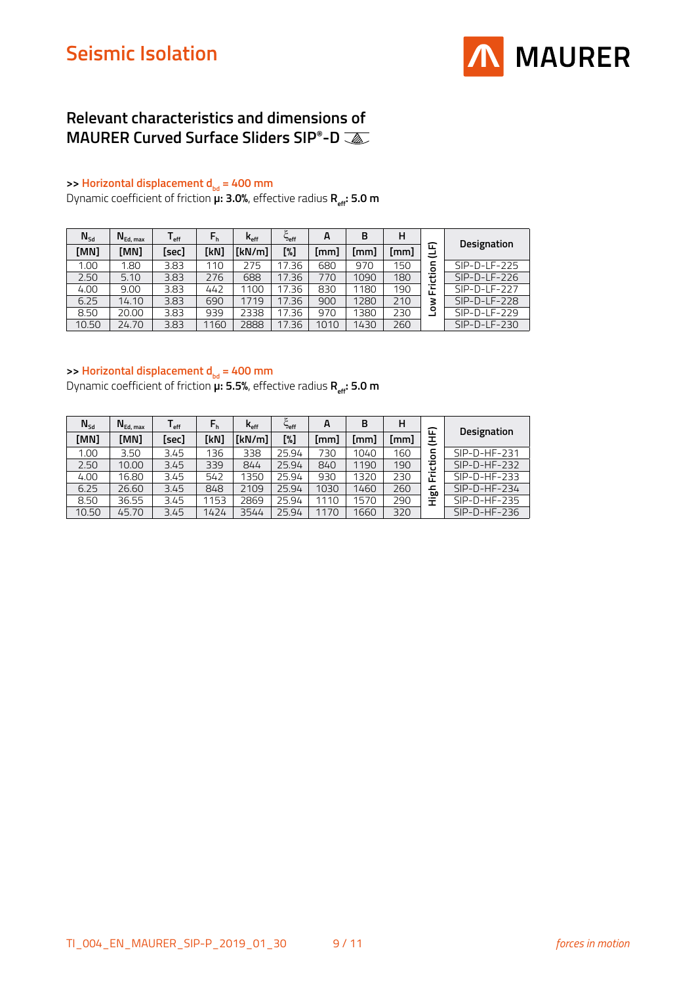

### **Relevant characteristics and dimensions of MAURER Curved Surface Sliders SIP®-D**

#### **>> Horizontal displacement d<sub>bd</sub> = 400 mm**

Dynamic coefficient of friction **μ: 3.0%**, effective radius **R**<sub>eff</sub>: **5.0 m** 

| $N_{sd}$ | $N_{Ed, max}$ | l <sub>eff</sub> | $F_h$ | $\mathsf{k}_{\scriptscriptstyle\mathsf{eff}}$ | ٤<br><b>Peff</b> | A    | в    | н    |                                    |                |
|----------|---------------|------------------|-------|-----------------------------------------------|------------------|------|------|------|------------------------------------|----------------|
| [MN]     | [MN]          | [sec]            | [kN]  | [kN/m]                                        | [%]              | [mm] | [mm] | (mm) | ᄄ<br>پے                            | Designation    |
| 1.00     | 1.80          | 3.83             | 110   | 275                                           | 17.36            | 680  | 970  | 150  | c<br>o                             | $SIP-D-LF-225$ |
| 2.50     | 5.10          | 3.83             | 276   | 688                                           | 17.36            | 770  | 1090 | 180  | 흉                                  | $SIP-D-LF-226$ |
| 4.00     | 9.00          | 3.83             | 442   | 1100                                          | 17.36            | 830  | 1180 | 190  | $\overline{\phantom{0}}$<br>┶<br>Œ | $SIP-D-LF-227$ |
| 6.25     | 14.10         | 3.83             | 690   | 1719                                          | 17.36            | 900  | 1280 | 210  | š                                  | $SIP-D-LF-228$ |
| 8.50     | 20.00         | 3.83             | 939   | 2338                                          | 17.36            | 970  | 1380 | 230  | ۰                                  | $SIP-D-LF-229$ |
| 10.50    | 24.70         | 3.83             | 1160  | 2888                                          | 17.36            | 1010 | 1430 | 260  |                                    | $SIP-D-LF-230$ |

#### **>> Horizontal displacement d<sub>bd</sub> = 400 mm**

Dynamic coefficient of friction **µ: 5.5%**, effective radius **R**<sub>eff</sub>: **5.0 m** 

| $N_{sd}$ | $N_{Ed, max}$ | ∎ eff | $F_h$ | $\mathsf{k}_{\scriptscriptstyle\mathsf{eff}}$ | <b>Peff</b> | A    | B    | н    | ᄄ                              |                    |
|----------|---------------|-------|-------|-----------------------------------------------|-------------|------|------|------|--------------------------------|--------------------|
| [MN]     | [MN]          | [sec] | [kN]  | [kN/m]                                        | [%]         | [mm] | [mm] | [mm] | ٮ                              | <b>Designation</b> |
| 1.00     | 3.50          | 3.45  | 136   | 338                                           | 25.94       | 730  | 1040 | 160  | 등                              | $SIP-D-HF-231$     |
| 2.50     | 10.00         | 3.45  | 339   | 844                                           | 25.94       | 840  | 1190 | 190  | ŧ                              | $SIP-D-HF-232$     |
| 4.00     | 16.80         | 3.45  | 542   | 1350                                          | 25.94       | 930  | 1320 | 230  | Έ<br>ட                         | $SIP-D-HF-233$     |
| 6.25     | 26.60         | 3.45  | 848   | 2109                                          | 25.94       | 1030 | 1460 | 260  | ᇰ<br>ᡂ                         | $SIP-D-HF-234$     |
| 8.50     | 36.55         | 3.45  | 1153  | 2869                                          | 25.94       | 1110 | 1570 | 290  | $\overline{\phantom{0}}$<br>Ŧ. | $SIP-D-HF-235$     |
| 10.50    | 45.70         | 3.45  | 1424  | 3544                                          | 25.94       | 1170 | 1660 | 320  |                                | $SIP-D-HF-236$     |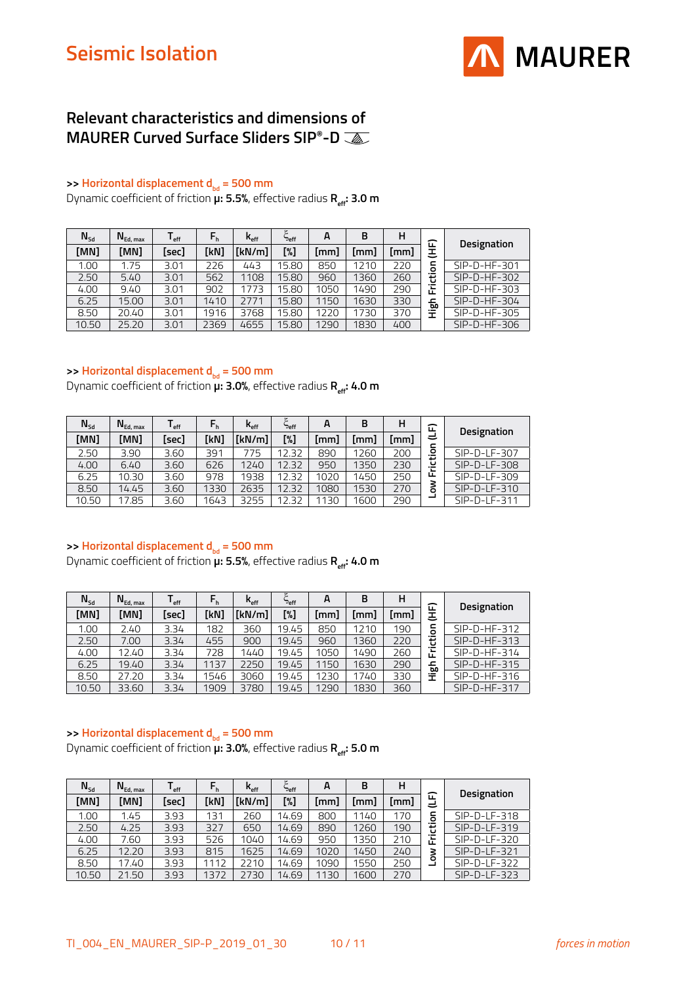

### **Relevant characteristics and dimensions of MAURER Curved Surface Sliders SIP®-D**

#### **>> Horizontal displacement d<sub>bd</sub> = 500 mm**

Dynamic coefficient of friction **µ: 5.5%**, effective radius **R**<sub>eff</sub>: **3.0 m** 

| $N_{sd}$ | $N_{Ed, max}$ | l <sub>eff</sub> | $F_h$ | $K_{\text{eff}}$ | ٤<br><b>Peff</b> | A    | в             | н    | 冚                              |                |
|----------|---------------|------------------|-------|------------------|------------------|------|---------------|------|--------------------------------|----------------|
| [MN]     | [MN]          | [sec]            | [kN]  | [kN/m]           | [%]              | (mm] | $\mathsf{mm}$ | [mm] | 王                              | Designation    |
| 1.00     | 1.75          | 3.01             | 226   | 443              | 15.80            | 850  | 1210          | 220  | 등                              | $SIP-D-HF-301$ |
| 2.50     | 5.40          | 3.01             | 562   | 1108             | 15.80            | 960  | 1360          | 260  | 흉                              | $SIP-D-HF-302$ |
| 4.00     | 9.40          | 3.01             | 902   | 1773             | 15.80            | 1050 | 1490          | 290  | Ē                              | $SIP-D-HF-303$ |
| 6.25     | 15.00         | 3.01             | 1410  | 2771             | 15.80            | 1150 | 1630          | 330  | ᅩ<br>60                        | $SIP-D-HF-304$ |
| 8.50     | 20.40         | 3.01             | 1916  | 3768             | 15.80            | 1220 | 1730          | 370  | $\overline{\phantom{0}}$<br>Ŧ. | SIP-D-HF-305   |
| 10.50    | 25.20         | 3.01             | 2369  | 4655             | 15.80            | 1290 | 1830          | 400  |                                | $SIP-D-HF-306$ |

#### **>> Horizontal displacement d**<sub>bd</sub> = 500 mm

Dynamic coefficient of friction **µ: 3.0%**, effective radius **R**<sub>eff</sub>: 4.0 m

| $N_{sd}$ | $N_{Ed, max}$ | l <sub>eff</sub> | $F_h$ | $\mathsf{k}_{\mathsf{eff}}$ | <b>Peff</b> | A    | B    | н    | 企                                        | Designation    |
|----------|---------------|------------------|-------|-----------------------------|-------------|------|------|------|------------------------------------------|----------------|
| [MN]     | [MN]          | [sec]            | [kN]  | [kN/m]                      | [%]         | [mm] | [mm] | [mm] | پ                                        |                |
| 2.50     | 3.90          | 3.60             | 391   | 775                         | 12.32       | 890  | 1260 | 200  | $\circ$<br>$\overline{\phantom{0}}$<br>≖ | SIP-D-LF-307   |
| 4.00     | 6.40          | 3.60             | 626   | 1240                        | 12.32       | 950  | 1350 | 230  | ت<br>$\overline{\phantom{0}}$            | $SIP-D-LF-308$ |
| 6.25     | 10.30         | 3.60             | 978   | 1938                        | 12.32       | 1020 | 1450 | 250  | ட                                        | $SIP-D-LF-309$ |
| 8.50     | 14.45         | 3.60             | 1330  | 2635                        | 12.32       | 1080 | 1530 | 270  | 3<br>ō                                   | $SIP-D-LF-310$ |
| 10.50    | 17.85         | 3.60             | 1643  | 3255                        | 2.32        | 1130 | 1600 | 290  |                                          | SIP-D-LF-311   |

#### >> **Horizontal displacement d**<sub>bd</sub> = 500 mm

Dynamic coefficient of friction **µ: 5.5%**, effective radius **R**<sub>eff</sub>: 4.0 m

| $N_{\text{Sd}}$ | $N_{Ed, max}$ | l <sub>eff</sub> | $F_h$ | $K_{\text{eff}}$ | ాeff  | A    | в    | н    | ᄄ            |                    |
|-----------------|---------------|------------------|-------|------------------|-------|------|------|------|--------------|--------------------|
| [MN]            | [MN]          | [sec]            | [kN]  | [kN/m]           | [%]   | [mm] | [mm] | [mm] | Ξ            | <b>Designation</b> |
| 1.00            | 2.40          | 3.34             | 182   | 360              | 19.45 | 850  | 1210 | 190  | ⊂<br>$\circ$ | $SIP-D-HF-312$     |
| 2.50            | 7.00          | 3.34             | 455   | 900              | 19.45 | 960  | 1360 | 220  | 흉            | $SIP-D-HF-313$     |
| 4.00            | 12.40         | 3.34             | 728   | 1440             | 19.45 | 1050 | 1490 | 260  | Έ<br>ш       | $SIP-D-HF-314$     |
| 6.25            | 19.40         | 3.34             | 1137  | 2250             | 19.45 | 1150 | 1630 | 290  | 딊            | $SIP-D-HF-315$     |
| 8.50            | 27.20         | 3.34             | 1546  | 3060             | 19.45 | 1230 | 1740 | 330  | 量            | $SIP-D-HF-316$     |
| 10.50           | 33.60         | 3.34             | 1909  | 3780             | 19.45 | 1290 | 1830 | 360  |              | $SIP-D-HF-317$     |

#### >> **Horizontal displacement d**<sub>bd</sub> = 500 mm

Dynamic coefficient of friction  $\mu$ : 3.0%, effective radius R<sub>eff</sub>: 5.0 m

| $N_{sd}$ | $N_{Ed, max}$ | ∎ eff | $F_h$ | $\mathsf{k}_{\scriptscriptstyle\mathsf{eff}}$ | eff"  | A    | в    | н    |         |                |
|----------|---------------|-------|-------|-----------------------------------------------|-------|------|------|------|---------|----------------|
| [MN]     | [MN]          | [sec] | [kN]  | [kN/m]                                        | [%]   | [mm] | [mm] | [mm] | 企<br>پے | Designation    |
| 1.00     | 1.45          | 3.93  | 131   | 260                                           | 14.69 | 800  | 1140 | 170  | ⊂<br>ō  | $SIP-D-LF-318$ |
| 2.50     | 4.25          | 3.93  | 327   | 650                                           | 14.69 | 890  | 1260 | 190  | ŧ       | SIP-D-LF-319   |
| 4.00     | 7.60          | 3.93  | 526   | 1040                                          | 14.69 | 950  | 1350 | 210  | ∵≂<br>ш | $SIP-D-LF-320$ |
| 6.25     | 12.20         | 3.93  | 815   | 1625                                          | 14.69 | 1020 | 1450 | 240  | š       | $SIP-D-LF-321$ |
| 8.50     | 17.40         | 3.93  | 1112  | 2210                                          | 14.69 | 1090 | 1550 | 250  |         | $SIP-D-LF-322$ |
| 10.50    | 21.50         | 3.93  | 1372  | 2730                                          | 14.69 | 1130 | 1600 | 270  |         | $SIP-D-LF-323$ |